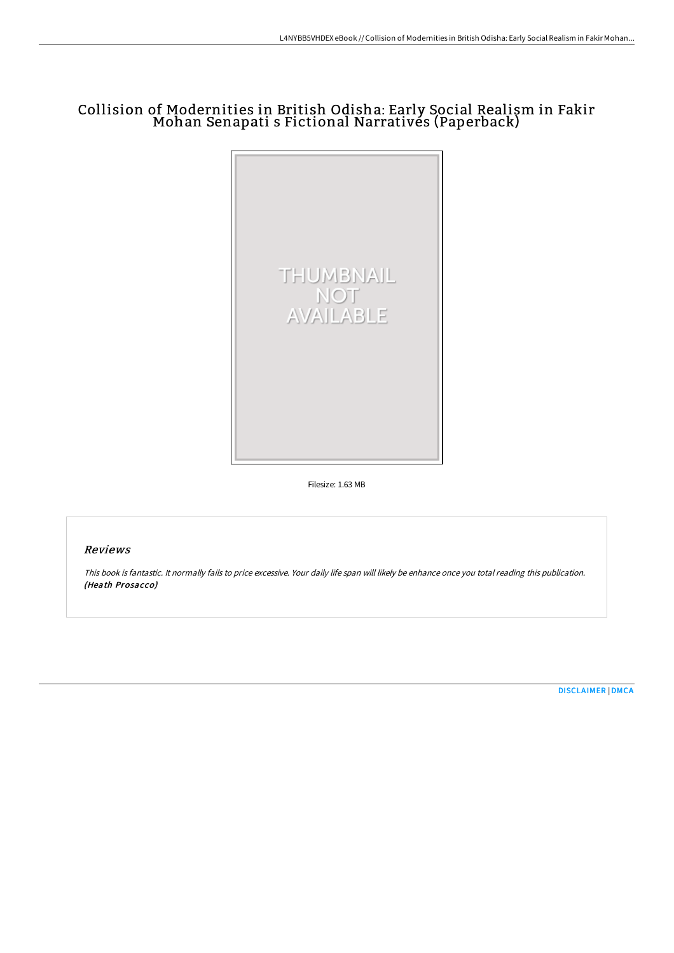# Collision of Modernities in British Odisha: Early Social Realism in Fakir Mohan Senapati s Fictional Narratives (Paperback)



Filesize: 1.63 MB

## Reviews

This book is fantastic. It normally fails to price excessive. Your daily life span will likely be enhance once you total reading this publication. (Heath Prosacco)

[DISCLAIMER](http://www.bookdirs.com/disclaimer.html) | [DMCA](http://www.bookdirs.com/dmca.html)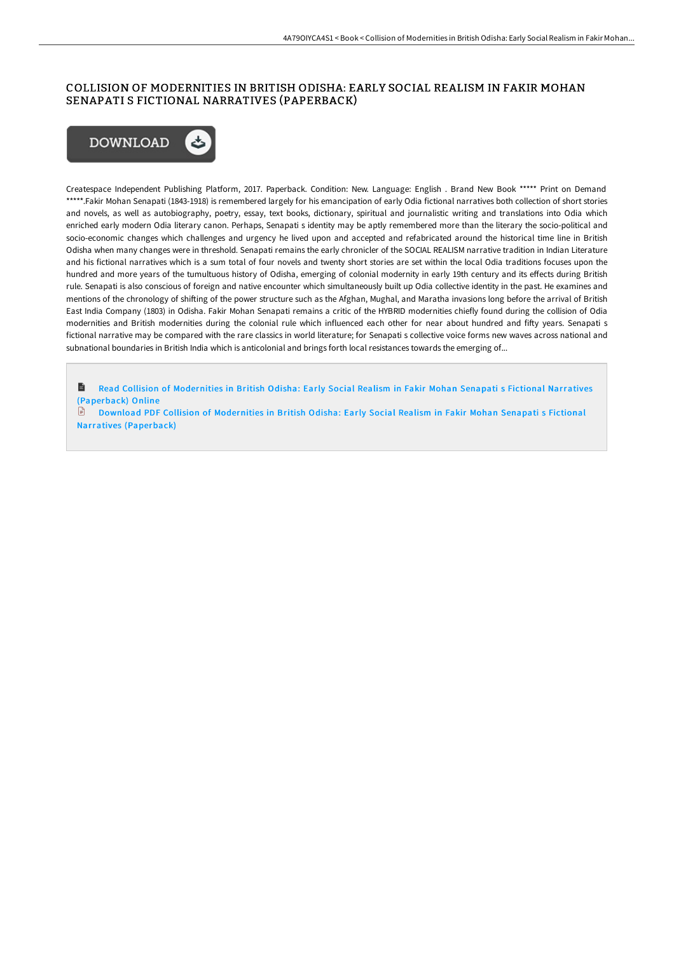## COLLISION OF MODERNITIES IN BRITISH ODISHA: EARLY SOCIAL REALISM IN FAKIR MOHAN SENAPATI S FICTIONAL NARRATIVES (PAPERBACK)



Createspace Independent Publishing Platform, 2017. Paperback. Condition: New. Language: English . Brand New Book \*\*\*\*\* Print on Demand \*\*\*\*\*.Fakir Mohan Senapati (1843-1918) is remembered largely for his emancipation of early Odia fictional narratives both collection of short stories and novels, as well as autobiography, poetry, essay, text books, dictionary, spiritual and journalistic writing and translations into Odia which enriched early modern Odia literary canon. Perhaps, Senapati s identity may be aptly remembered more than the literary the socio-political and socio-economic changes which challenges and urgency he lived upon and accepted and refabricated around the historical time line in British Odisha when many changes were in threshold. Senapati remains the early chronicler of the SOCIAL REALISM narrative tradition in Indian Literature and his fictional narratives which is a sum total of four novels and twenty short stories are set within the local Odia traditions focuses upon the hundred and more years of the tumultuous history of Odisha, emerging of colonial modernity in early 19th century and its effects during British rule. Senapati is also conscious of foreign and native encounter which simultaneously built up Odia collective identity in the past. He examines and mentions of the chronology of shifting of the power structure such as the Afghan, Mughal, and Maratha invasions long before the arrival of British East India Company (1803) in Odisha. Fakir Mohan Senapati remains a critic of the HYBRID modernities chiefly found during the collision of Odia modernities and British modernities during the colonial rule which influenced each other for near about hundred and fifty years. Senapati s fictional narrative may be compared with the rare classics in world literature; for Senapati s collective voice forms new waves across national and subnational boundaries in British India which is anticolonial and brings forth local resistances towards the emerging of...

Read Collision of [Modernities](http://www.bookdirs.com/collision-of-modernities-in-british-odisha-early.html) in British Odisha: Early Social Realism in Fakir Mohan Senapati s Fictional Narratives (Paperback) Online

日 Download PDF Collision of Modernities in British Odisha: Early Social Realism in Fakir Mohan Senapati s Fictional Narratives [\(Paperback\)](http://www.bookdirs.com/collision-of-modernities-in-british-odisha-early.html)